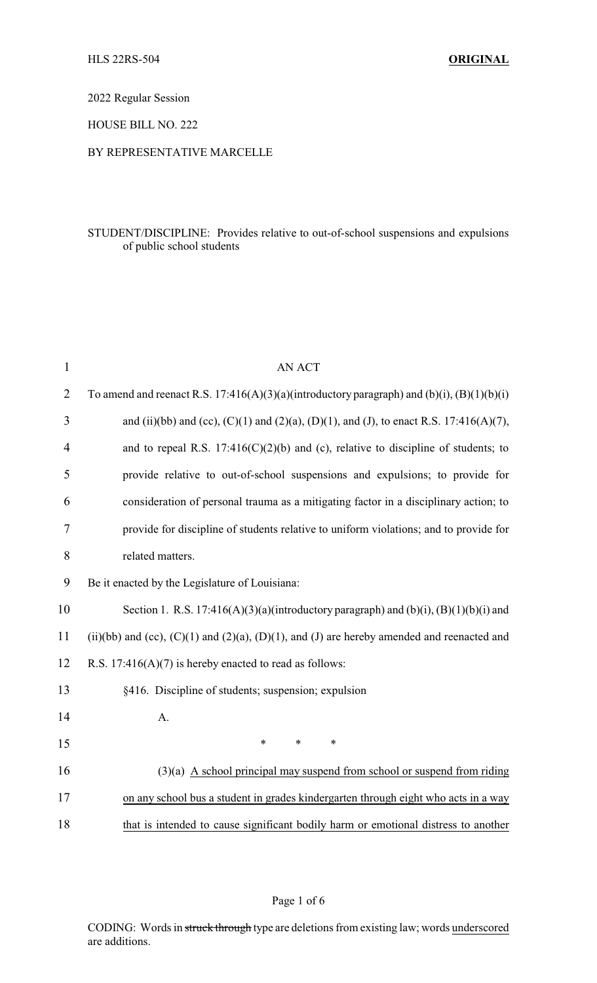2022 Regular Session

HOUSE BILL NO. 222

## BY REPRESENTATIVE MARCELLE

## STUDENT/DISCIPLINE: Provides relative to out-of-school suspensions and expulsions of public school students

| $\mathbf{1}$   | <b>AN ACT</b>                                                                                        |
|----------------|------------------------------------------------------------------------------------------------------|
| $\overline{2}$ | To amend and reenact R.S. 17:416(A)(3)(a)(introductory paragraph) and (b)(i), $(B)(1)(b)(i)$         |
| 3              | and (ii)(bb) and (cc), (C)(1) and (2)(a), (D)(1), and (J), to enact R.S. 17:416(A)(7),               |
| 4              | and to repeal R.S. $17:416(C)(2)(b)$ and (c), relative to discipline of students; to                 |
| 5              | provide relative to out-of-school suspensions and expulsions; to provide for                         |
| 6              | consideration of personal trauma as a mitigating factor in a disciplinary action; to                 |
| $\tau$         | provide for discipline of students relative to uniform violations; and to provide for                |
| 8              | related matters.                                                                                     |
| 9              | Be it enacted by the Legislature of Louisiana:                                                       |
| 10             | Section 1. R.S. 17:416(A)(3)(a)(introductory paragraph) and (b)(i), $(B)(1)(b)(i)$ and               |
| 11             | (ii)(bb) and (cc), $(C)(1)$ and $(2)(a)$ , $(D)(1)$ , and $(J)$ are hereby amended and reenacted and |
| 12             | R.S. $17:416(A)(7)$ is hereby enacted to read as follows:                                            |
| 13             | §416. Discipline of students; suspension; expulsion                                                  |
| 14             | A.                                                                                                   |
| 15             | $\ast$<br>$\ast$<br>$\ast$                                                                           |
| 16             | $(3)(a)$ A school principal may suspend from school or suspend from riding                           |
| 17             | on any school bus a student in grades kindergarten through eight who acts in a way                   |
| 18             | that is intended to cause significant bodily harm or emotional distress to another                   |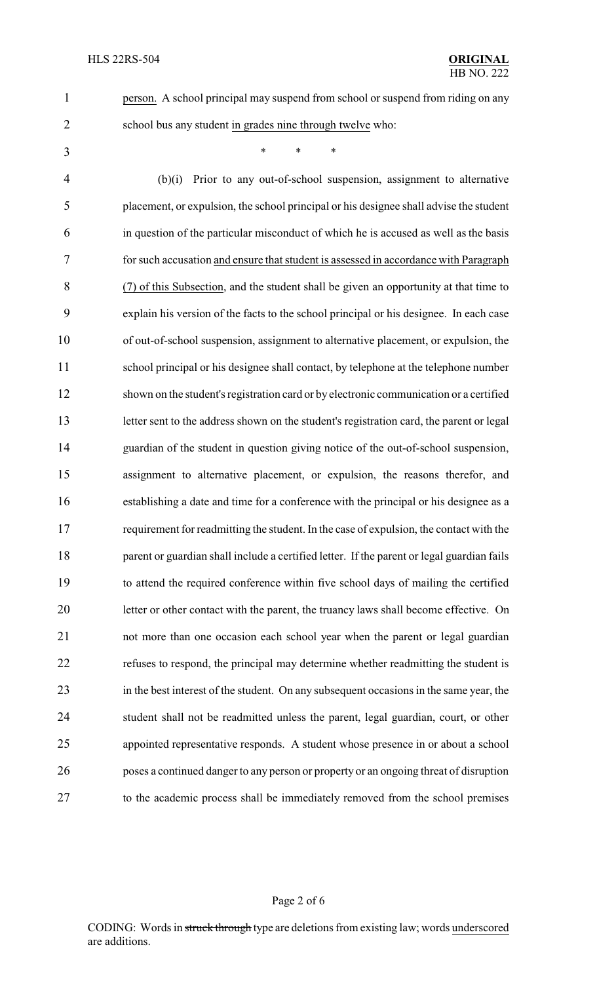person. A school principal may suspend from school or suspend from riding on any

- school bus any student in grades nine through twelve who:
- \* \* \*

 (b)(i) Prior to any out-of-school suspension, assignment to alternative placement, or expulsion, the school principal or his designee shall advise the student in question of the particular misconduct of which he is accused as well as the basis for such accusation and ensure that student is assessed in accordance with Paragraph (7) of this Subsection, and the student shall be given an opportunity at that time to explain his version of the facts to the school principal or his designee. In each case of out-of-school suspension, assignment to alternative placement, or expulsion, the school principal or his designee shall contact, by telephone at the telephone number shown on the student's registration card or by electronic communication or a certified letter sent to the address shown on the student's registration card, the parent or legal guardian of the student in question giving notice of the out-of-school suspension, assignment to alternative placement, or expulsion, the reasons therefor, and establishing a date and time for a conference with the principal or his designee as a requirement for readmitting the student. In the case of expulsion, the contact with the 18 parent or guardian shall include a certified letter. If the parent or legal guardian fails to attend the required conference within five school days of mailing the certified letter or other contact with the parent, the truancy laws shall become effective. On not more than one occasion each school year when the parent or legal guardian refuses to respond, the principal may determine whether readmitting the student is in the best interest of the student. On any subsequent occasions in the same year, the student shall not be readmitted unless the parent, legal guardian, court, or other appointed representative responds. A student whose presence in or about a school poses a continued danger to any person or property or an ongoing threat of disruption to the academic process shall be immediately removed from the school premises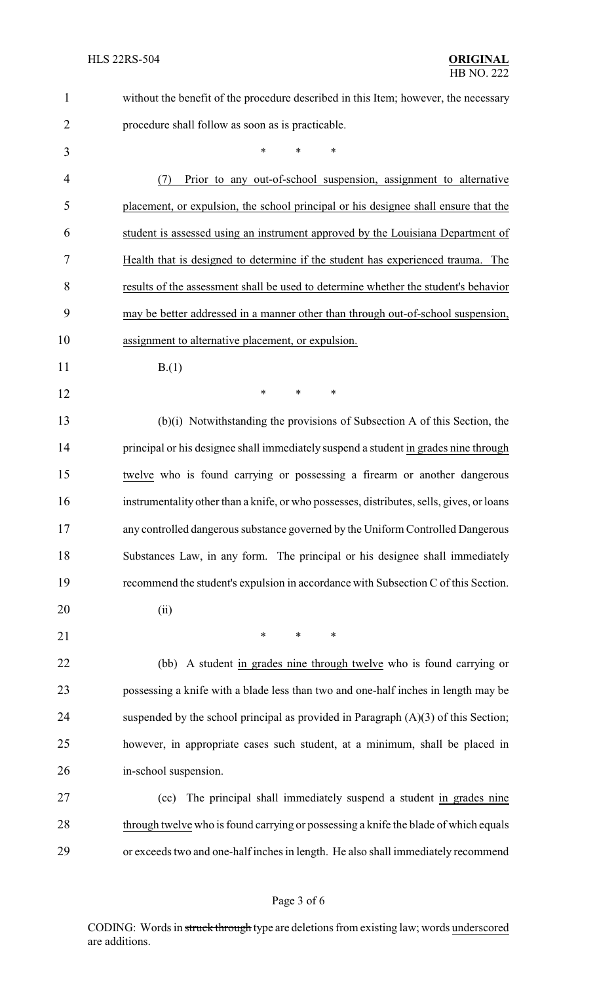| $\mathbf{1}$   | without the benefit of the procedure described in this Item; however, the necessary       |
|----------------|-------------------------------------------------------------------------------------------|
| $\overline{2}$ | procedure shall follow as soon as is practicable.                                         |
| 3              | *<br>*<br>*                                                                               |
| 4              | Prior to any out-of-school suspension, assignment to alternative<br>(7)                   |
| 5              | placement, or expulsion, the school principal or his designee shall ensure that the       |
| 6              | student is assessed using an instrument approved by the Louisiana Department of           |
| 7              | Health that is designed to determine if the student has experienced trauma. The           |
| 8              | results of the assessment shall be used to determine whether the student's behavior       |
| 9              | may be better addressed in a manner other than through out-of-school suspension,          |
| 10             | assignment to alternative placement, or expulsion.                                        |
| 11             | B(1)                                                                                      |
| 12             | *<br>$\ast$<br>∗                                                                          |
| 13             | (b)(i) Notwithstanding the provisions of Subsection A of this Section, the                |
| 14             | principal or his designee shall immediately suspend a student in grades nine through      |
| 15             | twelve who is found carrying or possessing a firearm or another dangerous                 |
| 16             | instrumentality other than a knife, or who possesses, distributes, sells, gives, or loans |
| 17             | any controlled dangerous substance governed by the Uniform Controlled Dangerous           |
| 18             | Substances Law, in any form. The principal or his designee shall immediately              |
| 19             | recommend the student's expulsion in accordance with Subsection C of this Section.        |
| 20             | (ii)                                                                                      |
| 21             | $\ast$<br>$\ast$<br>$\ast$                                                                |
| 22             | (bb) A student in grades nine through twelve who is found carrying or                     |
| 23             | possessing a knife with a blade less than two and one-half inches in length may be        |
| 24             | suspended by the school principal as provided in Paragraph $(A)(3)$ of this Section;      |
| 25             | however, in appropriate cases such student, at a minimum, shall be placed in              |
| 26             | in-school suspension.                                                                     |
| 27             | The principal shall immediately suspend a student in grades nine<br>(cc)                  |
| 28             | through twelve who is found carrying or possessing a knife the blade of which equals      |
| 29             | or exceeds two and one-half inches in length. He also shall immediately recommend         |

CODING: Words in struck through type are deletions from existing law; words underscored are additions.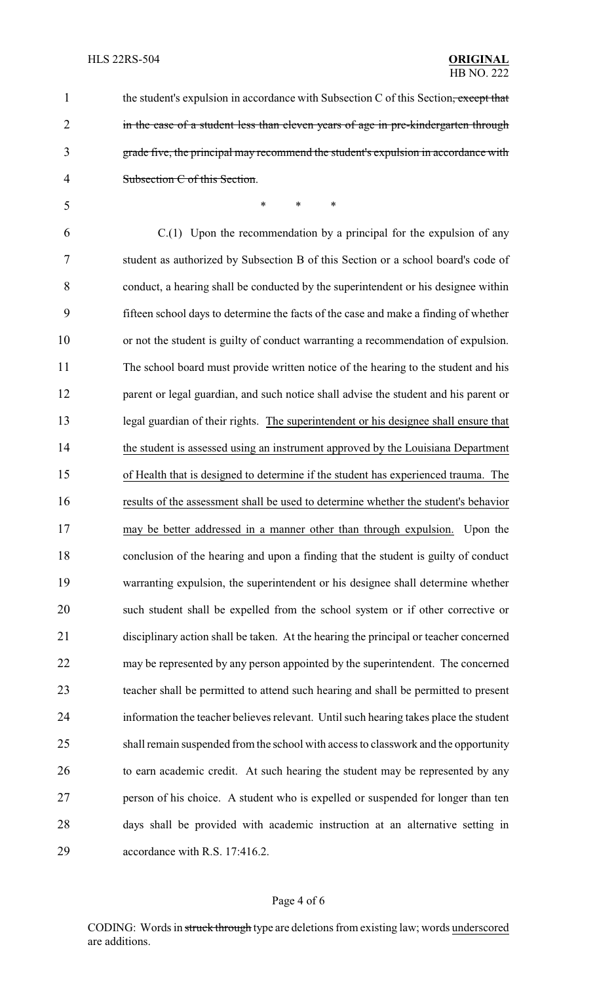1 the student's expulsion in accordance with Subsection C of this Section, except that 2 in the case of a student less than eleven years of age in pre-kindergarten through grade five, the principal may recommend the student's expulsion in accordance with Subsection C of this Section.

 \* \* \* C.(1) Upon the recommendation by a principal for the expulsion of any student as authorized by Subsection B of this Section or a school board's code of conduct, a hearing shall be conducted by the superintendent or his designee within fifteen school days to determine the facts of the case and make a finding of whether or not the student is guilty of conduct warranting a recommendation of expulsion. The school board must provide written notice of the hearing to the student and his 12 parent or legal guardian, and such notice shall advise the student and his parent or legal guardian of their rights. The superintendent or his designee shall ensure that the student is assessed using an instrument approved by the Louisiana Department of Health that is designed to determine if the student has experienced trauma. The results of the assessment shall be used to determine whether the student's behavior may be better addressed in a manner other than through expulsion. Upon the conclusion of the hearing and upon a finding that the student is guilty of conduct warranting expulsion, the superintendent or his designee shall determine whether such student shall be expelled from the school system or if other corrective or disciplinary action shall be taken. At the hearing the principal or teacher concerned may be represented by any person appointed by the superintendent. The concerned teacher shall be permitted to attend such hearing and shall be permitted to present information the teacher believes relevant. Until such hearing takes place the student shall remain suspended from the school with access to classwork and the opportunity to earn academic credit. At such hearing the student may be represented by any person of his choice. A student who is expelled or suspended for longer than ten days shall be provided with academic instruction at an alternative setting in

accordance with R.S. 17:416.2.

#### Page 4 of 6

CODING: Words in struck through type are deletions from existing law; words underscored are additions.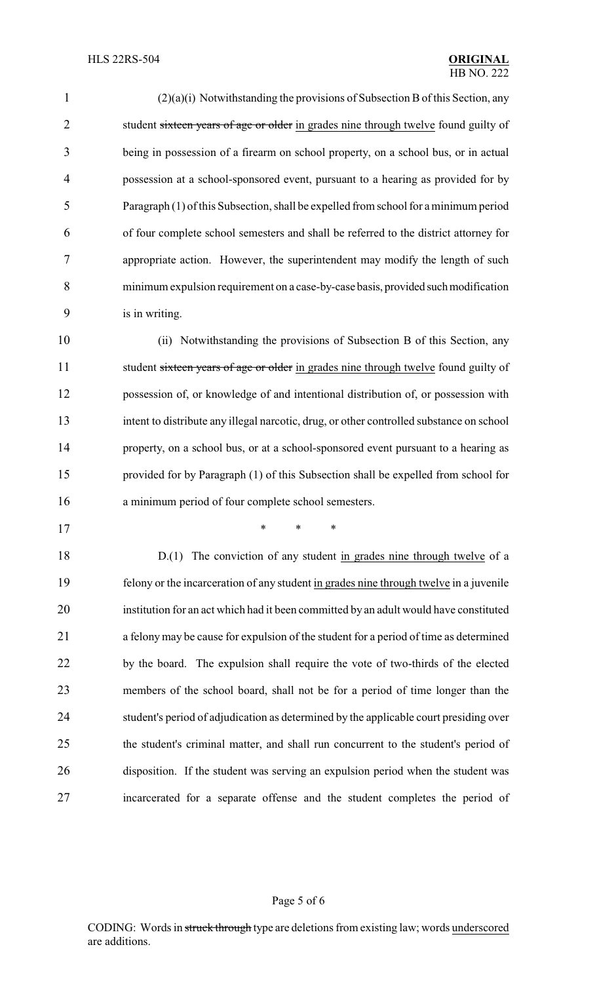| $\mathbf{1}$   | $(2)(a)(i)$ Notwithstanding the provisions of Subsection B of this Section, any      |
|----------------|--------------------------------------------------------------------------------------|
| $\overline{2}$ | student sixteen years of age or older in grades nine through twelve found guilty of  |
| $\overline{3}$ | being in possession of a firearm on school property, on a school bus, or in actual   |
| $\overline{4}$ | possession at a school-sponsored event, pursuant to a hearing as provided for by     |
| 5              | Paragraph (1) of this Subsection, shall be expelled from school for a minimum period |
| 6              | of four complete school semesters and shall be referred to the district attorney for |
| $\overline{7}$ | appropriate action. However, the superintendent may modify the length of such        |
| 8              | minimum expulsion requirement on a case-by-case basis, provided such modification    |
| 9              | is in writing.                                                                       |
|                |                                                                                      |

 (ii) Notwithstanding the provisions of Subsection B of this Section, any 11 student sixteen years of age or older in grades nine through twelve found guilty of possession of, or knowledge of and intentional distribution of, or possession with intent to distribute any illegal narcotic, drug, or other controlled substance on school property, on a school bus, or at a school-sponsored event pursuant to a hearing as provided for by Paragraph (1) of this Subsection shall be expelled from school for a minimum period of four complete school semesters.

\* \* \*

18 D.(1) The conviction of any student in grades nine through twelve of a felony or the incarceration of any student in grades nine through twelve in a juvenile institution for an act which had it been committed by an adult would have constituted a felonymay be cause for expulsion of the student for a period of time as determined by the board. The expulsion shall require the vote of two-thirds of the elected members of the school board, shall not be for a period of time longer than the student's period of adjudication as determined by the applicable court presiding over the student's criminal matter, and shall run concurrent to the student's period of disposition. If the student was serving an expulsion period when the student was incarcerated for a separate offense and the student completes the period of

### Page 5 of 6